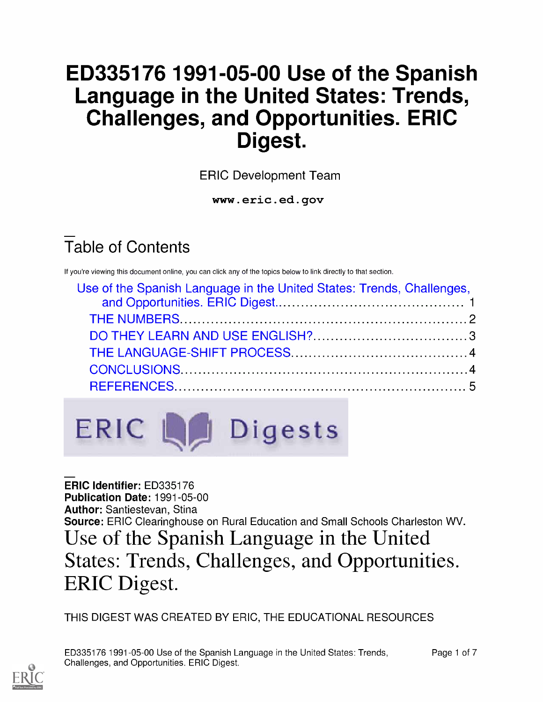# ED335176 1991-05-00 Use of the Spanish Language in the United States: Trends, Challenges, and Opportunities. ERIC Digest.

ERIC Development Team

www.eric.ed.gov

# Table of Contents

If you're viewing this document online, you can click any of the topics below to link directly to that section.

| Use of the Spanish Language in the United States: Trends, Challenges, |  |
|-----------------------------------------------------------------------|--|
|                                                                       |  |
|                                                                       |  |
|                                                                       |  |
|                                                                       |  |
|                                                                       |  |
|                                                                       |  |



ERIC Identifier: ED335176 Publication Date: 1991-05-00 Author: Santiestevan, Stina Source: ERIC Clearinghouse on Rural Education and Small Schools Charleston WV. Use of the Spanish Language in the United States: Trends, Challenges, and Opportunities. ERIC Digest.

THIS DIGEST WAS CREATED BY ERIC, THE EDUCATIONAL RESOURCES

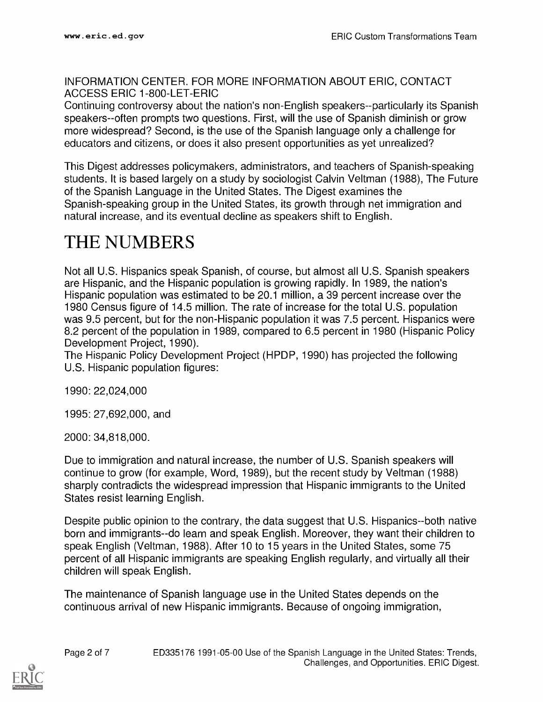INFORMATION CENTER. FOR MORE INFORMATION ABOUT ERIC, CONTACT ACCESS ERIC 1-800-LET-ERIC

Continuing controversy about the nation's non-English speakers--particularly its Spanish speakers--often prompts two questions. First, will the use of Spanish diminish or grow more widespread? Second, is the use of the Spanish language only a challenge for educators and citizens, or does it also present opportunities as yet unrealized?

This Digest addresses policymakers, administrators, and teachers of Spanish-speaking students. It is based largely on a study by sociologist Calvin Veltman (1988), The Future of the Spanish Language in the United States. The Digest examines the Spanish-speaking group in the United States, its growth through net immigration and natural increase, and its eventual decline as speakers shift to English.

#### THE NUMBERS

Not all U.S. Hispanics speak Spanish, of course, but almost all U.S. Spanish speakers are Hispanic, and the Hispanic population is growing rapidly. In 1989, the nation's Hispanic population was estimated to be 20.1 million, a 39 percent increase over the 1980 Census figure of 14.5 million. The rate of increase for the total U.S. population was 9.5 percent, but for the non-Hispanic population it was 7.5 percent. Hispanics were 8.2 percent of the population in 1989, compared to 6.5 percent in 1980 (Hispanic Policy Development Project, 1990).

The Hispanic Policy Development Project (HPDP, 1990) has projected the following U.S. Hispanic population figures:

1990: 22,024,000

1995: 27,692,000, and

2000: 34,818,000.

Due to immigration and natural increase, the number of U.S. Spanish speakers will continue to grow (for example, Word, 1989), but the recent study by Veltman (1988) sharply contradicts the widespread impression that Hispanic immigrants to the United States resist learning English.

Despite public opinion to the contrary, the data suggest that U.S. Hispanics--both native born and immigrants--do learn and speak English. Moreover, they want their children to speak English (Veltman, 1988). After 10 to 15 years in the United States, some 75 percent of all Hispanic immigrants are speaking English regularly, and virtually all their children will speak English.

The maintenance of Spanish language use in the United States depends on the continuous arrival of new Hispanic immigrants. Because of ongoing immigration,

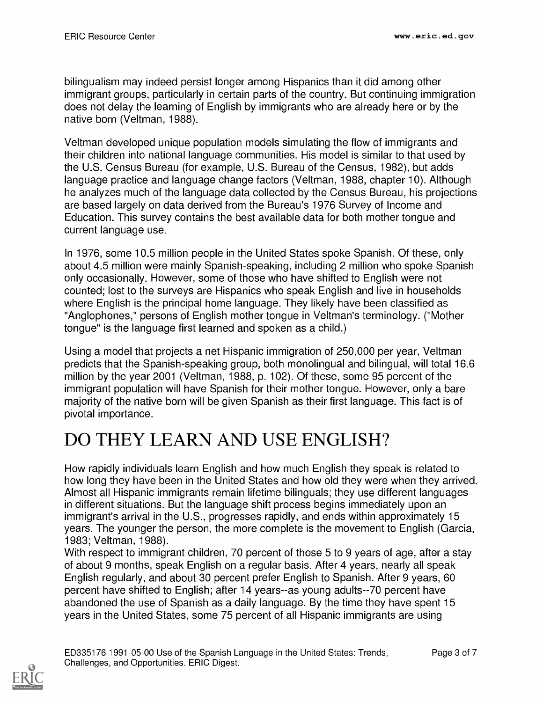bilingualism may indeed persist longer among Hispanics than it did among other immigrant groups, particularly in certain parts of the country. But continuing immigration does not delay the learning of English by immigrants who are already here or by the native born (Veltman, 1988).

Veltman developed unique population models simulating the flow of immigrants and their children into national language communities. His model is similar to that used by the U.S. Census Bureau (for example, U.S. Bureau of the Census, 1982), but adds language practice and language change factors (Veltman, 1988, chapter 10). Although he analyzes much of the language data collected by the Census Bureau, his projections are based largely on data derived from the Bureau's 1976 Survey of Income and Education. This survey contains the best available data for both mother tongue and current language use.

In 1976, some 10.5 million people in the United States spoke Spanish. Of these, only about 4.5 million were mainly Spanish-speaking, including 2 million who spoke Spanish only occasionally. However, some of those who have shifted to English were not counted; lost to the surveys are Hispanics who speak English and live in households where English is the principal home language. They likely have been classified as "Anglophones," persons of English mother tongue in Veltman's terminology. ("Mother tongue" is the language first learned and spoken as a child.)

Using a model that projects a net Hispanic immigration of 250,000 per year, Veltman predicts that the Spanish-speaking group, both monolingual and bilingual, will total 16.6 million by the year 2001 (Veltman, 1988, p. 102). Of these, some 95 percent of the immigrant population will have Spanish for their mother tongue. However, only a bare majority of the native born will be given Spanish as their first language. This fact is of pivotal importance.

## DO THEY LEARN AND USE ENGLISH?

How rapidly individuals learn English and how much English they speak is related to how long they have been in the United States and how old they were when they arrived. Almost all Hispanic immigrants remain lifetime bilinguals; they use different languages in different situations. But the language shift process begins immediately upon an immigrant's arrival in the U.S., progresses rapidly, and ends within approximately 15 years. The younger the person, the more complete is the movement to English (Garcia, 1983; Veltman, 1988).

With respect to immigrant children, 70 percent of those 5 to 9 years of age, after a stay of about 9 months, speak English on a regular basis. After 4 years, nearly all speak English regularly, and about 30 percent prefer English to Spanish. After 9 years, 60 percent have shifted to English; after 14 years--as young adults--70 percent have abandoned the use of Spanish as a daily language. By the time they have spent 15 years in the United States, some 75 percent of all Hispanic immigrants are using

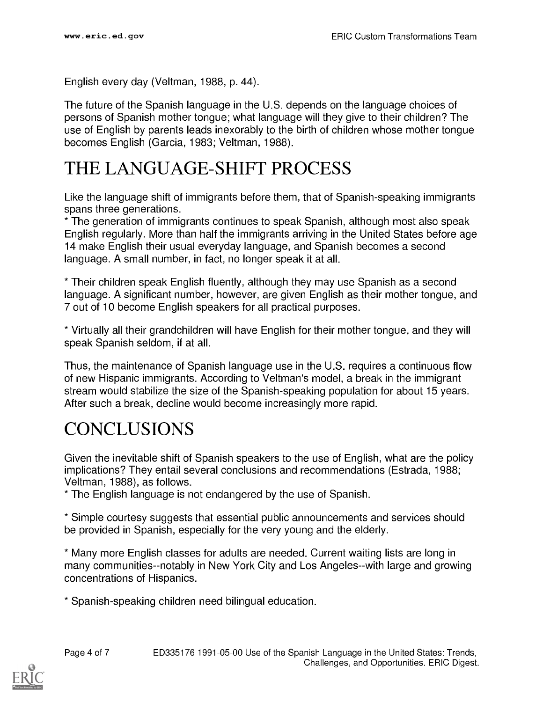English every day (Veltman, 1988, p. 44).

The future of the Spanish language in the U.S. depends on the language choices of persons of Spanish mother tongue; what language will they give to their children? The use of English by parents leads inexorably to the birth of children whose mother tongue becomes English (Garcia, 1983; Veltman, 1988).

#### THE LANGUAGE-SHIFT PROCESS

Like the language shift of immigrants before them, that of Spanish-speaking immigrants spans three generations.

\* The generation of immigrants continues to speak Spanish, although most also speak English regularly. More than half the immigrants arriving in the United States before age 14 make English their usual everyday language, and Spanish becomes a second language. A small number, in fact, no longer speak it at all.

\* Their children speak English fluently, although they may use Spanish as a second language. A significant number, however, are given English as their mother tongue, and 7 out of 10 become English speakers for all practical purposes.

\* Virtually all their grandchildren will have English for their mother tongue, and they will speak Spanish seldom, if at all.

Thus, the maintenance of Spanish language use in the U.S. requires a continuous flow of new Hispanic immigrants. According to Veltman's model, a break in the immigrant stream would stabilize the size of the Spanish-speaking population for about 15 years. After such a break, decline would become increasingly more rapid.

### **CONCLUSIONS**

Given the inevitable shift of Spanish speakers to the use of English, what are the policy implications? They entail several conclusions and recommendations (Estrada, 1988; Veltman, 1988), as follows.

\* The English language is not endangered by the use of Spanish.

\* Simple courtesy suggests that essential public announcements and services should be provided in Spanish, especially for the very young and the elderly.

\* Many more English classes for adults are needed. Current waiting lists are long in many communities--notably in New York City and Los Angeles--with large and growing concentrations of Hispanics.

\* Spanish-speaking children need bilingual education.

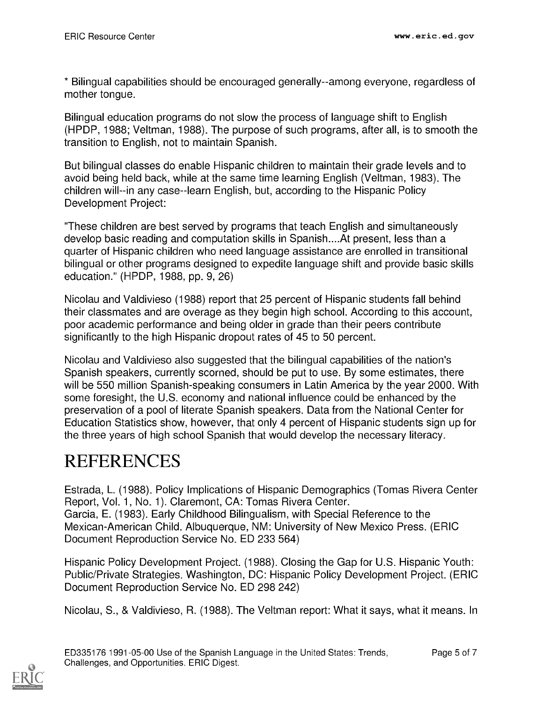\* Bilingual capabilities should be encouraged generally--among everyone, regardless of mother tongue.

Bilingual education programs do not slow the process of language shift to English (HPDP, 1988; Veltman, 1988). The purpose of such programs, after all, is to smooth the transition to English, not to maintain Spanish.

But bilingual classes do enable Hispanic children to maintain their grade levels and to avoid being held back, while at the same time learning English (Veltman, 1983). The children will--in any case--learn English, but, according to the Hispanic Policy Development Project:

"These children are best served by programs that teach English and simultaneously develop basic reading and computation skills in Spanish....At present, less than a quarter of Hispanic children who need language assistance are enrolled in transitional bilingual or other programs designed to expedite language shift and provide basic skills education." (HPDP, 1988, pp. 9, 26)

Nicolau and Valdivieso (1988) report that 25 percent of Hispanic students fall behind their classmates and are overage as they begin high school. According to this account, poor academic performance and being older in grade than their peers contribute significantly to the high Hispanic dropout rates of 45 to 50 percent.

Nicolau and Valdivieso also suggested that the bilingual capabilities of the nation's Spanish speakers, currently scorned, should be put to use. By some estimates, there will be 550 million Spanish-speaking consumers in Latin America by the year 2000. With some foresight, the U.S. economy and national influence could be enhanced by the preservation of a pool of literate Spanish speakers. Data from the National Center for Education Statistics show, however, that only 4 percent of Hispanic students sign up for the three years of high school Spanish that would develop the necessary literacy.

## REFERENCES

Estrada, L. (1988). Policy Implications of Hispanic Demographics (Tomas Rivera Center Report, Vol. 1, No. 1). Claremont, CA: Tomas Rivera Center. Garcia, E. (1983). Early Childhood Bilingualism, with Special Reference to the Mexican-American Child. Albuquerque, NM: University of New Mexico Press. (ERIC Document Reproduction Service No. ED 233 564)

Hispanic Policy Development Project. (1988). Closing the Gap for U.S. Hispanic Youth: Public/Private Strategies. Washington, DC: Hispanic Policy Development Project. (ERIC Document Reproduction Service No. ED 298 242)

Nicolau, S., & Valdivieso, R. (1988). The Veltman report: What it says, what it means. In

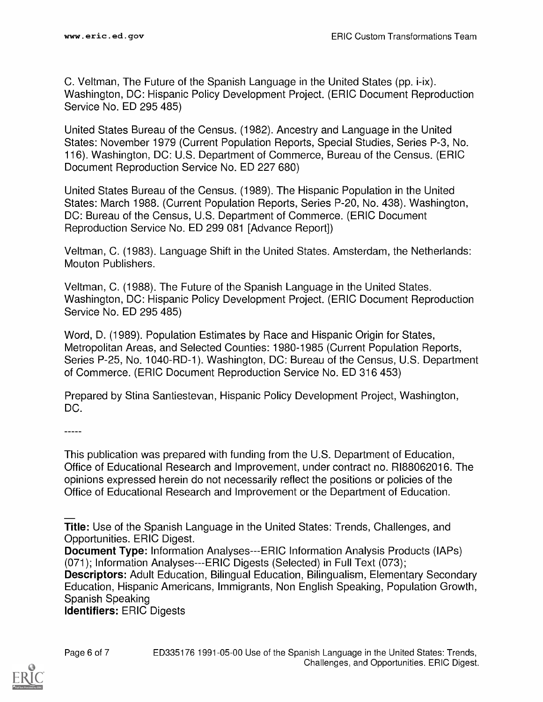C. Veltman, The Future of the Spanish Language in the United States (pp. i-ix). Washington, DC: Hispanic Policy Development Project. (ERIC Document Reproduction Service No. ED 295 485)

United States Bureau of the Census. (1982). Ancestry and Language in the United States: November 1979 (Current Population Reports, Special Studies, Series P-3, No. 116). Washington, DC: U.S. Department of Commerce, Bureau of the Census. (ERIC Document Reproduction Service No. ED 227 680)

United States Bureau of the Census. (1989). The Hispanic Population in the United States: March 1988. (Current Population Reports, Series P-20, No. 438). Washington, DC: Bureau of the Census, U.S. Department of Commerce. (ERIC Document Reproduction Service No. ED 299 081 [Advance Report])

Veltman, C. (1983). Language Shift in the United States. Amsterdam, the Netherlands: Mouton Publishers.

Veltman, C. (1988). The Future of the Spanish Language in the United States. Washington, DC: Hispanic Policy Development Project. (ERIC Document Reproduction Service No. ED 295 485)

Word, D. (1989). Population Estimates by Race and Hispanic Origin for States, Metropolitan Areas, and Selected Counties: 1980-1985 (Current Population Reports, Series P-25, No. 1040-RD-1). Washington, DC: Bureau of the Census, U.S. Department of Commerce. (ERIC Document Reproduction Service No. ED 316 453)

Prepared by Stina Santiestevan, Hispanic Policy Development Project, Washington, DC.

-----

This publication was prepared with funding from the U.S. Department of Education, Office of Educational Research and Improvement, under contract no. RI88062016. The opinions expressed herein do not necessarily reflect the positions or policies of the Office of Educational Research and Improvement or the Department of Education.

Title: Use of the Spanish Language in the United States: Trends, Challenges, and Opportunities. ERIC Digest.

Document Type: Information Analyses---ERIC Information Analysis Products (IAPs) (071); Information Analyses---ERIC Digests (Selected) in Full Text (073);

Descriptors: Adult Education, Bilingual Education, Bilingualism, Elementary Secondary Education, Hispanic Americans, Immigrants, Non English Speaking, Population Growth, Spanish Speaking

Identifiers: ERIC Digests